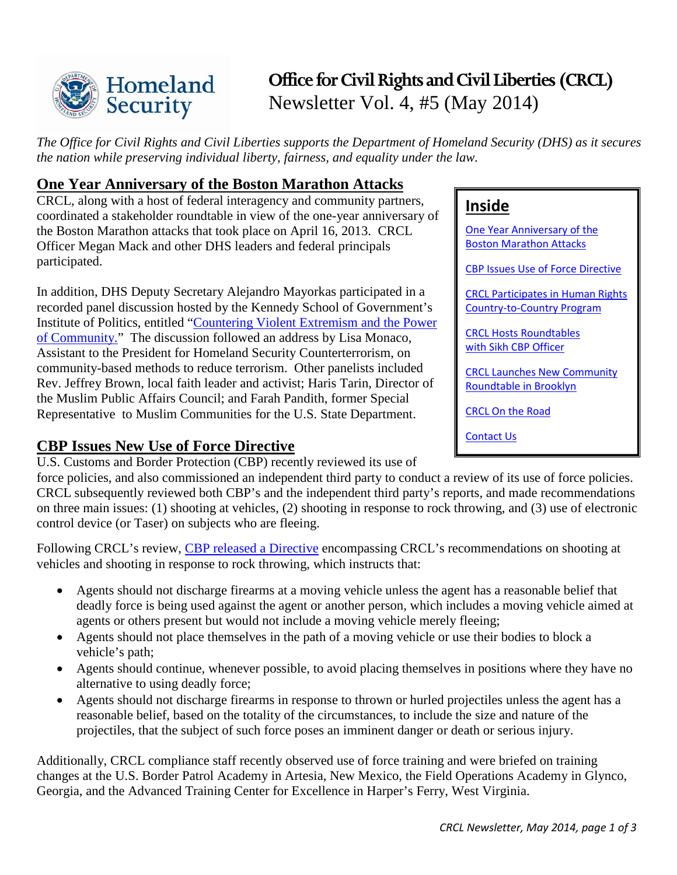

# Newsletter Vol. 4, #5 (May 2014) **Office for Civil Rights and Civil Liberties (CRCL)**

*The Office for Civil Rights and Civil Liberties supports the Department of Homeland Security (DHS) as it secures the nation while preserving individual liberty, fairness, and equality under the law.* 

### <span id="page-0-0"></span>**One Year Anniversary of the Boston Marathon Attacks**

CRCL, along with a host of federal interagency and community partners, coordinated a stakeholder roundtable in view of the one-year anniversary of the Boston Marathon attacks that took place on April 16, 2013. CRCL Officer Megan Mack and other DHS leaders and federal principals participated.

 recorded panel discussion hosted by the Kennedy School of Government's In addition, DHS Deputy Secretary Alejandro Mayorkas participated in a Institute of Politics, entitled ["Countering Violent Extremism and the Power](http://forum.iop.harvard.edu/content/countering-violent-extremism-and-power-community)  [of Community."](http://forum.iop.harvard.edu/content/countering-violent-extremism-and-power-community) The discussion followed an address by Lisa Monaco, Assistant to the President for Homeland Security Counterterrorism, on community-based methods to reduce terrorism. Other panelists included Rev. Jeffrey Brown, local faith leader and activist; Haris Tarin, Director of the Muslim Public Affairs Council; and Farah Pandith, former Special Representative to Muslim Communities for the U.S. State Department.

### <span id="page-0-1"></span>**CBP Issues New Use of Force Directive**

U.S. Customs and Border Protection (CBP) recently reviewed its use of

force policies, and also commissioned an independent third party to conduct a review of its use of force policies. force policies, and also commissioned an independent third party to conduct a review of its use of force policies. CRCL subsequently reviewed both CBP's and the independent third party's reports, and made recommendations control device (or Taser) on subjects who are fleeing. on three main issues: (1) shooting at vehicles, (2) shooting in response to rock throwing, and (3) use of electronic

Following CRCL's review, [CBP released a Directive](http://www.cbp.gov/sites/default/files/documents/Use%20of%20Safe%20Tactics%20and%20Techniques.pdf) encompassing CRCL's recommendations on shooting at vehicles and shooting in response to rock throwing, which instructs that:

- agents or others present but would not include a moving vehicle merely fleeing; • Agents should not discharge firearms at a moving vehicle unless the agent has a reasonable belief that deadly force is being used against the agent or another person, which includes a moving vehicle aimed at
- Agents should not place themselves in the path of a moving vehicle or use their bodies to block a vehicle's path;
- Agents should continue, whenever possible, to avoid placing themselves in positions where they have no alternative to using deadly force;
- • Agents should not discharge firearms in response to thrown or hurled projectiles unless the agent has a projectiles, that the subject of such force poses an imminent danger or death or serious injury. reasonable belief, based on the totality of the circumstances, to include the size and nature of the

Additionally, CRCL compliance staff recently observed use of force training and were briefed on training changes at the U.S. Border Patrol Academy in Artesia, New Mexico, the Field Operations Academy in Glynco, Georgia, and the Advanced Training Center for Excellence in Harper's Ferry, West Virginia.

# **Inside**

**Boston Marathon Attacks** [One Year Anniversary of the](#page-0-0) 

**CBP Issues Use of Force Directive** 

**CRCL Participates in Human Rights** 

Country-to-Country Program<br>CRCL Hosts Roundtables [with Sikh CBP Officer](#page-1-1) 

Roundtable in Brooklyn<br>CRCL On the Road [CRCL Launches New Community](#page-2-0) 

[Contact Us](#page-2-2)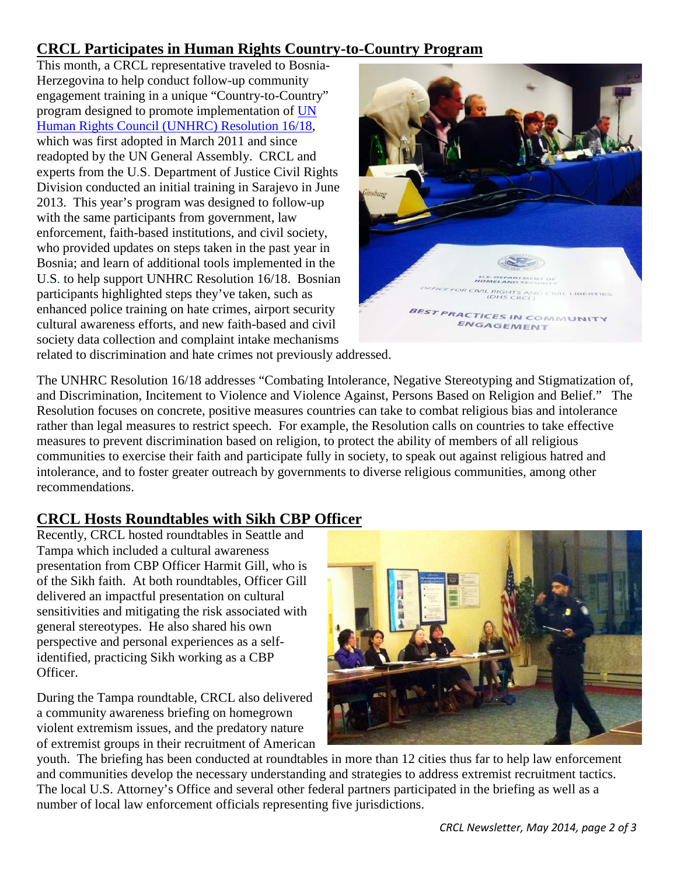# <span id="page-1-0"></span>**CRCL Participates in Human Rights Country-to-Country Program**

 2013. This year's program was designed to follow-up Bosnia; and learn of additional tools implemented in the U.S. to help support UNHRC Resolution 16/18. Bosnian cultural awareness efforts, and new faith-based and civil This month, a CRCL representative traveled to Bosnia-Herzegovina to help conduct follow-up community engagement training in a unique "Country-to-Country" program designed to promote implementation of [UN](http://geneva.usmission.gov/wp-content/uploads/2012/04/Resolution16-18.pdf)  [Human Rights Council \(UNHRC\) Resolution 16/18,](http://geneva.usmission.gov/wp-content/uploads/2012/04/Resolution16-18.pdf) which was first adopted in March 2011 and since readopted by the UN General Assembly. CRCL and experts from the U.S. Department of Justice Civil Rights Division conducted an initial training in Sarajevo in June with the same participants from government, law enforcement, faith-based institutions, and civil society, who provided updates on steps taken in the past year in participants highlighted steps they've taken, such as enhanced police training on hate crimes, airport security society data collection and complaint intake mechanisms



related to discrimination and hate crimes not previously addressed.

 and Discrimination, Incitement to Violence and Violence Against, Persons Based on Religion and Belief." The measures to prevent discrimination based on religion, to protect the ability of members of all religious intolerance, and to foster greater outreach by governments to diverse religious communities, among other The UNHRC Resolution 16/18 addresses "Combating Intolerance, Negative Stereotyping and Stigmatization of, Resolution focuses on concrete, positive measures countries can take to combat religious bias and intolerance rather than legal measures to restrict speech. For example, the Resolution calls on countries to take effective communities to exercise their faith and participate fully in society, to speak out against religious hatred and recommendations.

### <span id="page-1-1"></span>**CRCL Hosts Roundtables with Sikh CBP Officer**

 perspective and personal experiences as a self- identified, practicing Sikh working as a CBP Recently, CRCL hosted roundtables in Seattle and Tampa which included a cultural awareness presentation from CBP Officer Harmit Gill, who is of the Sikh faith. At both roundtables, Officer Gill delivered an impactful presentation on cultural sensitivities and mitigating the risk associated with general stereotypes. He also shared his own Officer.

During the Tampa roundtable, CRCL also delivered a community awareness briefing on homegrown violent extremism issues, and the predatory nature of extremist groups in their recruitment of American



 youth. The briefing has been conducted at roundtables in more than 12 cities thus far to help law enforcement The local U.S. Attorney's Office and several other federal partners participated in the briefing as well as a and communities develop the necessary understanding and strategies to address extremist recruitment tactics. number of local law enforcement officials representing five jurisdictions.